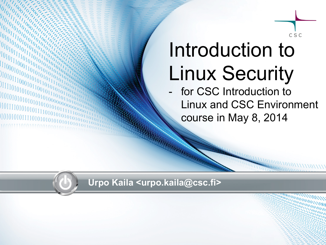

# Introduction to Linux Security

- for CSC Introduction to Linux and CSC Environment course in May 8, 2014

**Urpo Kaila <urpo.kaila@csc.fi>**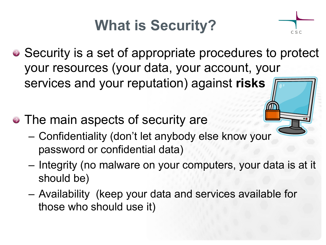## **What is Security?**



- Security is a set of appropriate procedures to protect your resources (your data, your account, your services and your reputation) against **risks**
- The main aspects of security are
	- Confidentiality (don't let anybody else know your password or confidential data)
	- Integrity (no malware on your computers, your data is at it should be)
	- Availability (keep your data and services available for those who should use it)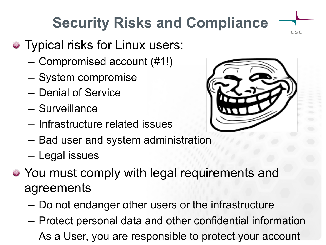# **Security Risks and Compliance**

- Typical risks for Linux users:
	- Compromised account (#1!)
	- System compromise
	- Denial of Service
	- Surveillance
	- Infrastructure related issues
	- Bad user and system administration
	- Legal issues
- You must comply with legal requirements and agreements
	- Do not endanger other users or the infrastructure
	- Protect personal data and other confidential information
	- As a User, you are responsible to protect your account



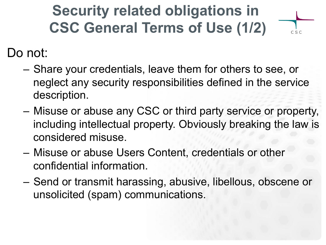#### **Security related obligations in CSC General Terms of Use (1/2)**

 $C S C$ 

Do not:

- Share your credentials, leave them for others to see, or neglect any security responsibilities defined in the service description.
- Misuse or abuse any CSC or third party service or property, including intellectual property. Obviously breaking the law is considered misuse.
- Misuse or abuse Users Content, credentials or other confidential information.
- Send or transmit harassing, abusive, libellous, obscene or unsolicited (spam) communications.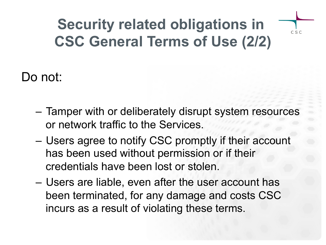#### **Security related obligations in CSC General Terms of Use (2/2)**

 $C S C$ 

Do not:

- Tamper with or deliberately disrupt system resources or network traffic to the Services.
- Users agree to notify CSC promptly if their account has been used without permission or if their credentials have been lost or stolen.
- Users are liable, even after the user account has been terminated, for any damage and costs CSC incurs as a result of violating these terms.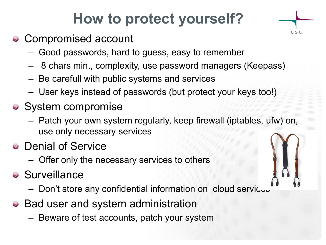#### **How to protect yourself?**

C S C

- Compromised account
	- Good passwords, hard to guess, easy to remember
	- 8 chars min., complexity, use password managers (Keepass)
	- Be carefull with public systems and services
	- User keys instead of passwords (but protect your keys too!)
- System compromise
	- Patch your own system regularly, keep firewall (iptables, ufw) on, use only necessary services
- Denial of Service
	- Offer only the necessary services to others
- **•** Surveillance
	- Don't store any confidential information on cloud servicus
- Bad user and system administration
	- Beware of test accounts, patch your system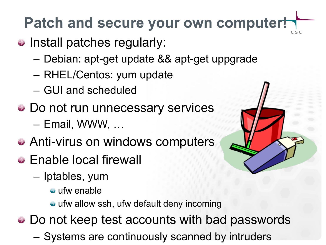# **Patch and secure your own computer!**

- Install patches regularly:
	- Debian: apt-get update && apt-get uppgrade
	- RHEL/Centos: yum update
	- GUI and scheduled
- Do not run unnecessary services – Email, WWW, …
- Anti-virus on windows computers
- Enable local firewall
	- Iptables, yum
		- ufw enable
		- ufw allow ssh, ufw default deny incoming

• Do not keep test accounts with bad passwords

– Systems are continuously scanned by intruders

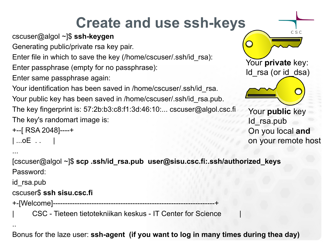### **Create and use ssh-keys**

cscuser@algol ~]\$ **ssh-keygen**

Generating public/private rsa key pair.

Enter file in which to save the key (/home/cscuser/.ssh/id\_rsa):

Enter passphrase (empty for no passphrase):

Enter same passphrase again:

Your identification has been saved in /home/cscuser/.ssh/id\_rsa. Your public key has been saved in /home/cscuser/.ssh/id rsa.pub. The key fingerprint is: 57:2b:b3:c8:f1:3d:46:10:... cscuser@algol.csc.fi

The key's randomart image is:

```
+--[ RSA 2048]----+
```

```
| ...oE . . |
```


..

[cscuser@algol ~]\$ **scp .ssh/id\_rsa.pub user@sisu.csc.fi:.ssh/authorized\_keys** Password:

id\_rsa.pub

#### cscuser\$ **ssh sisu.csc.fi**

+-[Welcome]-------------------------------------------------------------------+

| CSC - Tieteen tietotekniikan keskus - IT Center for Science |

Bonus for the laze user: **ssh-agent (if you want to log in many times during thea day)**

C S C Your **private** key: Id rsa (or id dsa) Your **public** key Id\_rsa.pub On you local **and** on your remote host